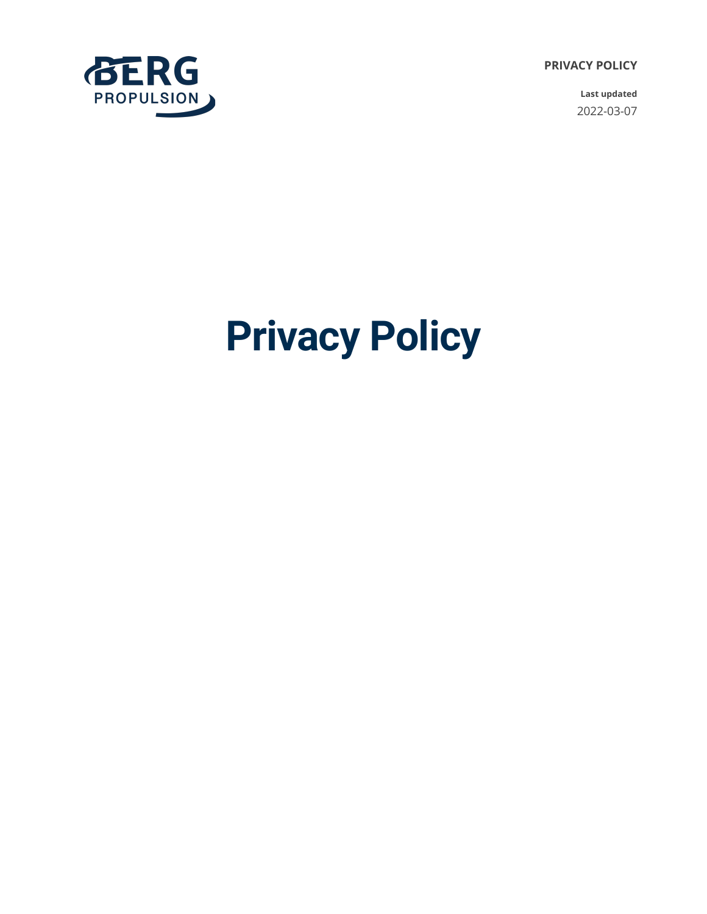**PRIVACY POLICY**

**Last updated**  2022-03-07



# **Privacy Policy**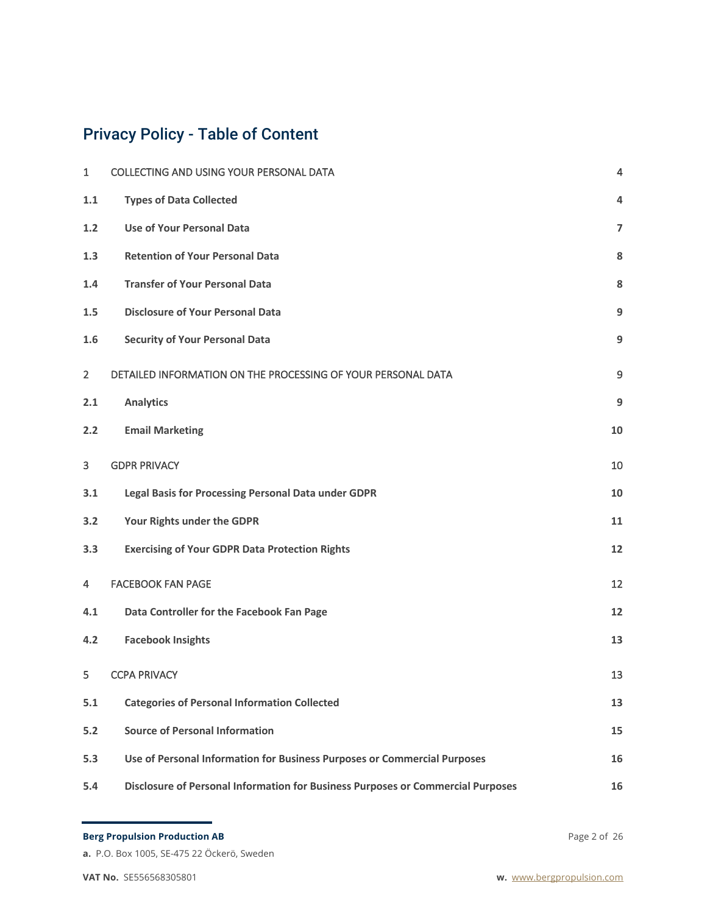# Privacy Policy - Table of Content

| 1              | COLLECTING AND USING YOUR PERSONAL DATA                                         | 4                       |
|----------------|---------------------------------------------------------------------------------|-------------------------|
| 1.1            | <b>Types of Data Collected</b>                                                  | 4                       |
| 1.2            | <b>Use of Your Personal Data</b>                                                | $\overline{\mathbf{z}}$ |
| 1.3            | <b>Retention of Your Personal Data</b>                                          | 8                       |
| 1.4            | <b>Transfer of Your Personal Data</b>                                           | 8                       |
| 1.5            | <b>Disclosure of Your Personal Data</b>                                         | 9                       |
| 1.6            | <b>Security of Your Personal Data</b>                                           | 9                       |
| $\overline{2}$ | DETAILED INFORMATION ON THE PROCESSING OF YOUR PERSONAL DATA                    | 9                       |
| 2.1            | <b>Analytics</b>                                                                | 9                       |
| 2.2            | <b>Email Marketing</b>                                                          | 10                      |
| 3              | <b>GDPR PRIVACY</b>                                                             | 10                      |
| 3.1            | Legal Basis for Processing Personal Data under GDPR                             | 10                      |
| 3.2            | Your Rights under the GDPR                                                      | 11                      |
| 3.3            | <b>Exercising of Your GDPR Data Protection Rights</b>                           | 12                      |
| 4              | <b>FACEBOOK FAN PAGE</b>                                                        | 12                      |
| 4.1            | Data Controller for the Facebook Fan Page                                       | 12                      |
| 4.2            | <b>Facebook Insights</b>                                                        | 13                      |
| 5              | <b>CCPA PRIVACY</b>                                                             | 13                      |
| 5.1            | <b>Categories of Personal Information Collected</b>                             | 13                      |
| 5.2            | <b>Source of Personal Information</b>                                           | 15                      |
| 5.3            | Use of Personal Information for Business Purposes or Commercial Purposes        | 16                      |
| 5.4            | Disclosure of Personal Information for Business Purposes or Commercial Purposes | 16                      |

**a.** P.O. Box 1005, SE-475 22 Öckerö, Sweden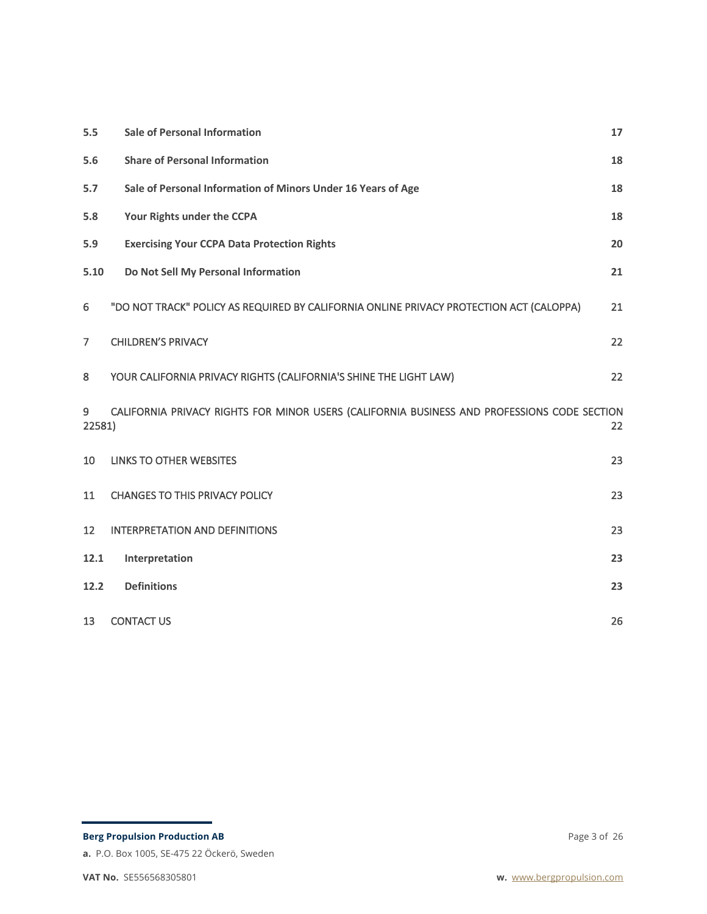| 5.5  | <b>Sale of Personal Information</b>                                                                         | 17 |
|------|-------------------------------------------------------------------------------------------------------------|----|
| 5.6  | <b>Share of Personal Information</b>                                                                        | 18 |
| 5.7  | Sale of Personal Information of Minors Under 16 Years of Age                                                | 18 |
| 5.8  | Your Rights under the CCPA                                                                                  | 18 |
| 5.9  | <b>Exercising Your CCPA Data Protection Rights</b>                                                          | 20 |
| 5.10 | Do Not Sell My Personal Information                                                                         | 21 |
| 6    | "DO NOT TRACK" POLICY AS REQUIRED BY CALIFORNIA ONLINE PRIVACY PROTECTION ACT (CALOPPA)                     | 21 |
| 7    | <b>CHILDREN'S PRIVACY</b>                                                                                   | 22 |
| 8    | YOUR CALIFORNIA PRIVACY RIGHTS (CALIFORNIA'S SHINE THE LIGHT LAW)                                           | 22 |
| 9    | CALIFORNIA PRIVACY RIGHTS FOR MINOR USERS (CALIFORNIA BUSINESS AND PROFESSIONS CODE SECTION<br>22581)<br>22 |    |
| 10   | LINKS TO OTHER WEBSITES                                                                                     | 23 |
| 11   | <b>CHANGES TO THIS PRIVACY POLICY</b>                                                                       | 23 |
| 12   | <b>INTERPRETATION AND DEFINITIONS</b>                                                                       | 23 |
| 12.1 | Interpretation                                                                                              | 23 |
| 12.2 | <b>Definitions</b>                                                                                          | 23 |
| 13   | <b>CONTACT US</b>                                                                                           | 26 |

**Berg Propulsion Production AB**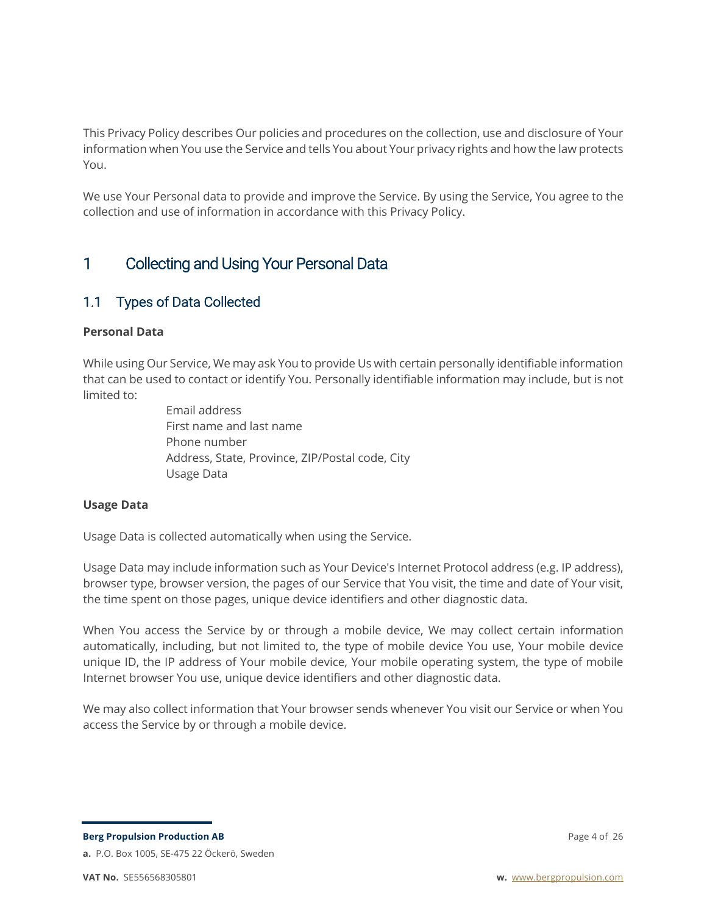This Privacy Policy describes Our policies and procedures on the collection, use and disclosure of Your information when You use the Service and tells You about Your privacy rights and how the law protects You.

We use Your Personal data to provide and improve the Service. By using the Service, You agree to the collection and use of information in accordance with this Privacy Policy.

# 1 Collecting and Using Your Personal Data

## 1.1 Types of Data Collected

#### **Personal Data**

While using Our Service, We may ask You to provide Us with certain personally identifiable information that can be used to contact or identify You. Personally identifiable information may include, but is not limited to:

> Email address First name and last name Phone number Address, State, Province, ZIP/Postal code, City Usage Data

#### **Usage Data**

Usage Data is collected automatically when using the Service.

Usage Data may include information such as Your Device's Internet Protocol address (e.g. IP address), browser type, browser version, the pages of our Service that You visit, the time and date of Your visit, the time spent on those pages, unique device identifiers and other diagnostic data.

When You access the Service by or through a mobile device, We may collect certain information automatically, including, but not limited to, the type of mobile device You use, Your mobile device unique ID, the IP address of Your mobile device, Your mobile operating system, the type of mobile Internet browser You use, unique device identifiers and other diagnostic data.

We may also collect information that Your browser sends whenever You visit our Service or when You access the Service by or through a mobile device.

**Berg Propulsion Production AB a.** P.O. Box 1005, SE-475 22 Öckerö, Sweden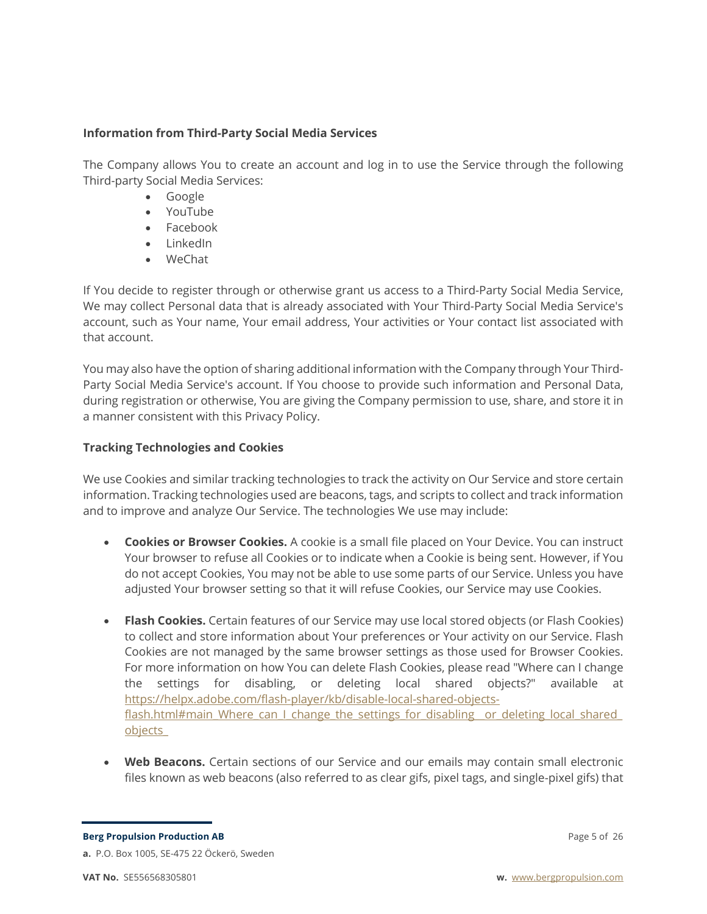#### **Information from Third-Party Social Media Services**

The Company allows You to create an account and log in to use the Service through the following Third-party Social Media Services:

- Google
- YouTube
- Facebook
- LinkedIn
- WeChat

If You decide to register through or otherwise grant us access to a Third-Party Social Media Service, We may collect Personal data that is already associated with Your Third-Party Social Media Service's account, such as Your name, Your email address, Your activities or Your contact list associated with that account.

You may also have the option of sharing additional information with the Company through Your Third-Party Social Media Service's account. If You choose to provide such information and Personal Data, during registration or otherwise, You are giving the Company permission to use, share, and store it in a manner consistent with this Privacy Policy.

#### **Tracking Technologies and Cookies**

We use Cookies and similar tracking technologies to track the activity on Our Service and store certain information. Tracking technologies used are beacons, tags, and scripts to collect and track information and to improve and analyze Our Service. The technologies We use may include:

- **Cookies or Browser Cookies.** A cookie is a small file placed on Your Device. You can instruct Your browser to refuse all Cookies or to indicate when a Cookie is being sent. However, if You do not accept Cookies, You may not be able to use some parts of our Service. Unless you have adjusted Your browser setting so that it will refuse Cookies, our Service may use Cookies.
- **Flash Cookies.** Certain features of our Service may use local stored objects (or Flash Cookies) to collect and store information about Your preferences or Your activity on our Service. Flash Cookies are not managed by the same browser settings as those used for Browser Cookies. For more information on how You can delete Flash Cookies, please read "Where can I change the settings for disabling, or deleting local shared objects?" available at https://helpx.adobe.com/flash-player/kb/disable-local-shared-objectsflash.html#main\_Where\_can\_I\_change\_the\_settings\_for\_disabling\_\_or\_deleting\_local\_shared\_ objects\_
- **Web Beacons.** Certain sections of our Service and our emails may contain small electronic files known as web beacons (also referred to as clear gifs, pixel tags, and single-pixel gifs) that

Page 5 of 26

**Berg Propulsion Production AB a.** P.O. Box 1005, SE-475 22 Öckerö, Sweden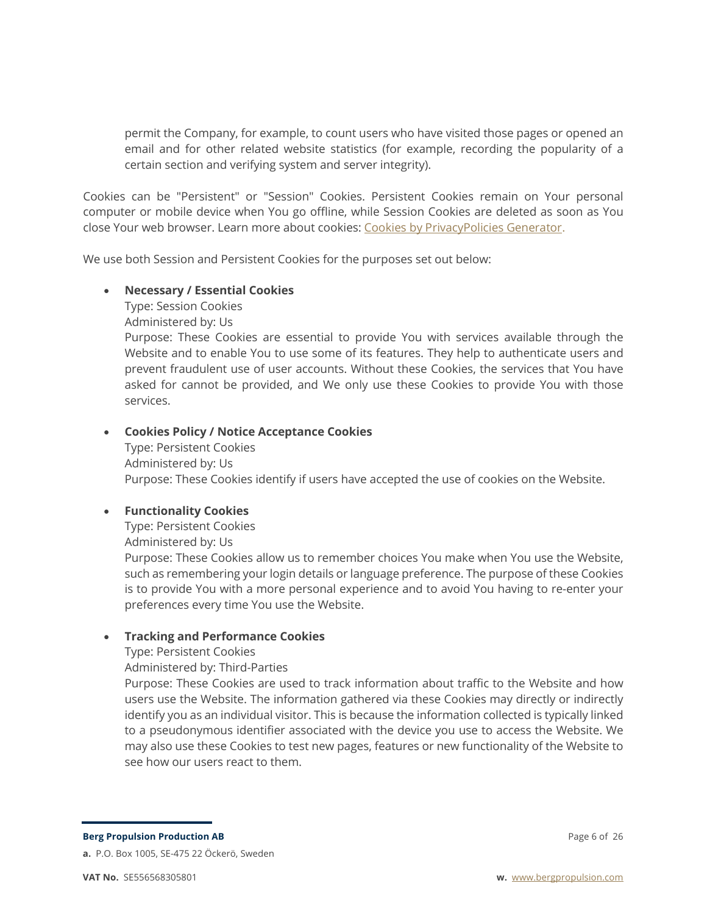permit the Company, for example, to count users who have visited those pages or opened an email and for other related website statistics (for example, recording the popularity of a certain section and verifying system and server integrity).

Cookies can be "Persistent" or "Session" Cookies. Persistent Cookies remain on Your personal computer or mobile device when You go offline, while Session Cookies are deleted as soon as You close Your web browser. Learn more about cookies: Cookies by PrivacyPolicies Generator.

We use both Session and Persistent Cookies for the purposes set out below:

#### • **Necessary / Essential Cookies**

Type: Session Cookies

Administered by: Us

Purpose: These Cookies are essential to provide You with services available through the Website and to enable You to use some of its features. They help to authenticate users and prevent fraudulent use of user accounts. Without these Cookies, the services that You have asked for cannot be provided, and We only use these Cookies to provide You with those services.

#### • **Cookies Policy / Notice Acceptance Cookies**

Type: Persistent Cookies Administered by: Us Purpose: These Cookies identify if users have accepted the use of cookies on the Website.

#### • **Functionality Cookies**

Type: Persistent Cookies

Administered by: Us

Purpose: These Cookies allow us to remember choices You make when You use the Website, such as remembering your login details or language preference. The purpose of these Cookies is to provide You with a more personal experience and to avoid You having to re-enter your preferences every time You use the Website.

#### • **Tracking and Performance Cookies**

Type: Persistent Cookies

Administered by: Third-Parties

Purpose: These Cookies are used to track information about traffic to the Website and how users use the Website. The information gathered via these Cookies may directly or indirectly identify you as an individual visitor. This is because the information collected is typically linked to a pseudonymous identifier associated with the device you use to access the Website. We may also use these Cookies to test new pages, features or new functionality of the Website to see how our users react to them.

**a.** P.O. Box 1005, SE-475 22 Öckerö, Sweden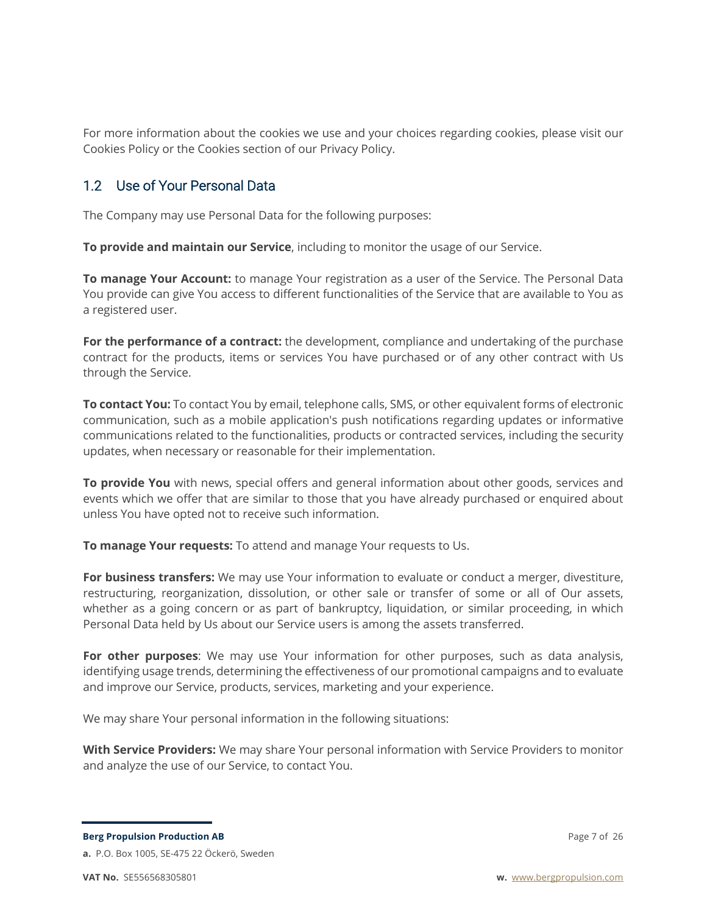For more information about the cookies we use and your choices regarding cookies, please visit our Cookies Policy or the Cookies section of our Privacy Policy.

# 1.2 Use of Your Personal Data

The Company may use Personal Data for the following purposes:

**To provide and maintain our Service**, including to monitor the usage of our Service.

**To manage Your Account:** to manage Your registration as a user of the Service. The Personal Data You provide can give You access to different functionalities of the Service that are available to You as a registered user.

**For the performance of a contract:** the development, compliance and undertaking of the purchase contract for the products, items or services You have purchased or of any other contract with Us through the Service.

**To contact You:** To contact You by email, telephone calls, SMS, or other equivalent forms of electronic communication, such as a mobile application's push notifications regarding updates or informative communications related to the functionalities, products or contracted services, including the security updates, when necessary or reasonable for their implementation.

**To provide You** with news, special offers and general information about other goods, services and events which we offer that are similar to those that you have already purchased or enquired about unless You have opted not to receive such information.

**To manage Your requests:** To attend and manage Your requests to Us.

**For business transfers:** We may use Your information to evaluate or conduct a merger, divestiture, restructuring, reorganization, dissolution, or other sale or transfer of some or all of Our assets, whether as a going concern or as part of bankruptcy, liquidation, or similar proceeding, in which Personal Data held by Us about our Service users is among the assets transferred.

**For other purposes**: We may use Your information for other purposes, such as data analysis, identifying usage trends, determining the effectiveness of our promotional campaigns and to evaluate and improve our Service, products, services, marketing and your experience.

We may share Your personal information in the following situations:

**With Service Providers:** We may share Your personal information with Service Providers to monitor and analyze the use of our Service, to contact You.

**Berg Propulsion Production AB**

**a.** P.O. Box 1005, SE-475 22 Öckerö, Sweden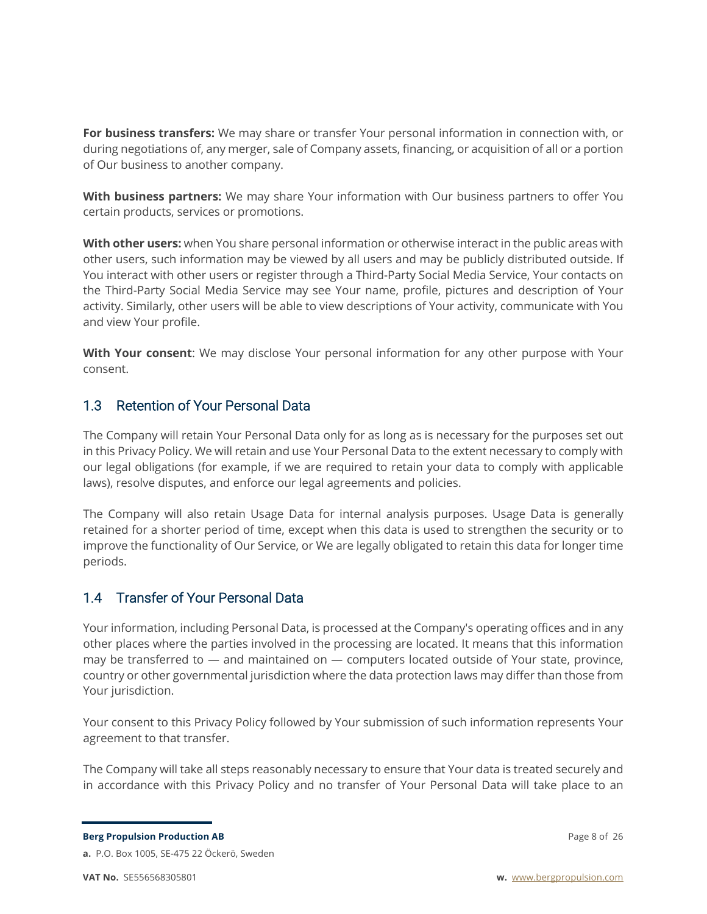**For business transfers:** We may share or transfer Your personal information in connection with, or during negotiations of, any merger, sale of Company assets, financing, or acquisition of all or a portion of Our business to another company.

**With business partners:** We may share Your information with Our business partners to offer You certain products, services or promotions.

**With other users:** when You share personal information or otherwise interact in the public areas with other users, such information may be viewed by all users and may be publicly distributed outside. If You interact with other users or register through a Third-Party Social Media Service, Your contacts on the Third-Party Social Media Service may see Your name, profile, pictures and description of Your activity. Similarly, other users will be able to view descriptions of Your activity, communicate with You and view Your profile.

**With Your consent**: We may disclose Your personal information for any other purpose with Your consent.

## 1.3 Retention of Your Personal Data

The Company will retain Your Personal Data only for as long as is necessary for the purposes set out in this Privacy Policy. We will retain and use Your Personal Data to the extent necessary to comply with our legal obligations (for example, if we are required to retain your data to comply with applicable laws), resolve disputes, and enforce our legal agreements and policies.

The Company will also retain Usage Data for internal analysis purposes. Usage Data is generally retained for a shorter period of time, except when this data is used to strengthen the security or to improve the functionality of Our Service, or We are legally obligated to retain this data for longer time periods.

## 1.4 Transfer of Your Personal Data

Your information, including Personal Data, is processed at the Company's operating offices and in any other places where the parties involved in the processing are located. It means that this information may be transferred to — and maintained on — computers located outside of Your state, province, country or other governmental jurisdiction where the data protection laws may differ than those from Your jurisdiction.

Your consent to this Privacy Policy followed by Your submission of such information represents Your agreement to that transfer.

The Company will take all steps reasonably necessary to ensure that Your data is treated securely and in accordance with this Privacy Policy and no transfer of Your Personal Data will take place to an

**a.** P.O. Box 1005, SE-475 22 Öckerö, Sweden

**Berg Propulsion Production AB**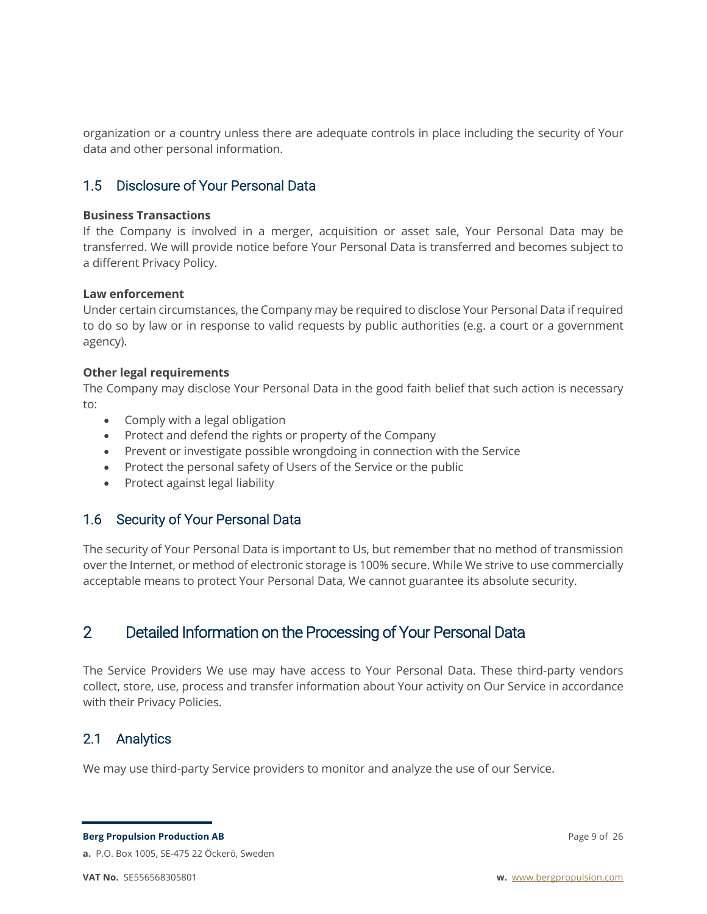organization or a country unless there are adequate controls in place including the security of Your data and other personal information.

## 1.5 Disclosure of Your Personal Data

#### **Business Transactions**

If the Company is involved in a merger, acquisition or asset sale, Your Personal Data may be transferred. We will provide notice before Your Personal Data is transferred and becomes subject to a different Privacy Policy.

#### **Law enforcement**

Under certain circumstances, the Company may be required to disclose Your Personal Data if required to do so by law or in response to valid requests by public authorities (e.g. a court or a government agency).

#### **Other legal requirements**

The Company may disclose Your Personal Data in the good faith belief that such action is necessary to:

- Comply with a legal obligation
- Protect and defend the rights or property of the Company
- Prevent or investigate possible wrongdoing in connection with the Service
- Protect the personal safety of Users of the Service or the public
- Protect against legal liability

## 1.6 Security of Your Personal Data

The security of Your Personal Data is important to Us, but remember that no method of transmission over the Internet, or method of electronic storage is 100% secure. While We strive to use commercially acceptable means to protect Your Personal Data, We cannot guarantee its absolute security.

# 2 Detailed Information on the Processing of Your Personal Data

The Service Providers We use may have access to Your Personal Data. These third-party vendors collect, store, use, process and transfer information about Your activity on Our Service in accordance with their Privacy Policies.

## 2.1 Analytics

We may use third-party Service providers to monitor and analyze the use of our Service.

**a.** P.O. Box 1005, SE-475 22 Öckerö, Sweden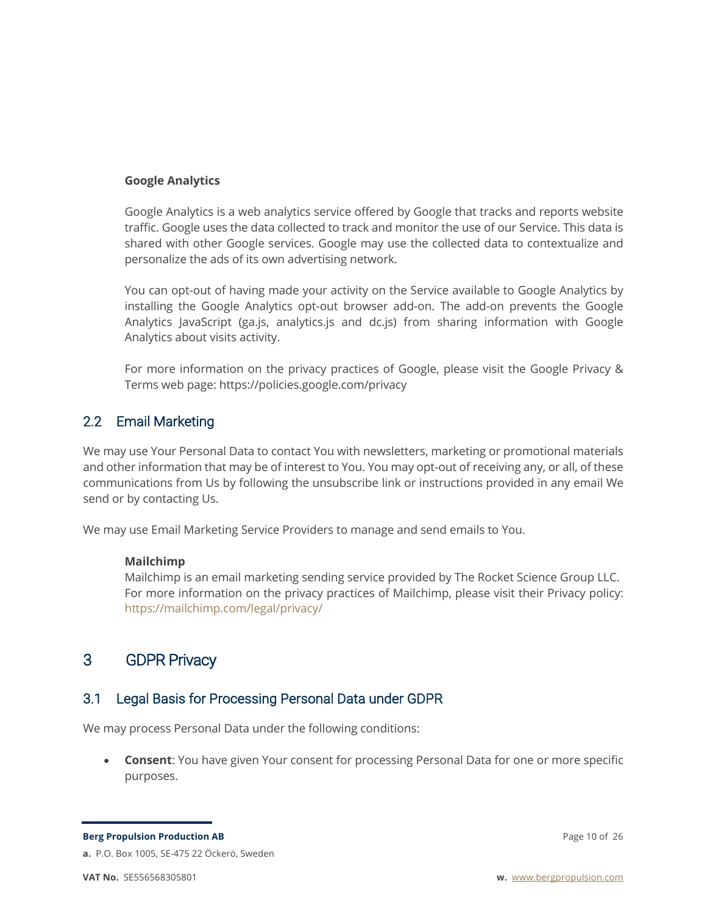#### **Google Analytics**

Google Analytics is a web analytics service offered by Google that tracks and reports website traffic. Google uses the data collected to track and monitor the use of our Service. This data is shared with other Google services. Google may use the collected data to contextualize and personalize the ads of its own advertising network.

You can opt-out of having made your activity on the Service available to Google Analytics by installing the Google Analytics opt-out browser add-on. The add-on prevents the Google Analytics JavaScript (ga.js, analytics.js and dc.js) from sharing information with Google Analytics about visits activity.

For more information on the privacy practices of Google, please visit the Google Privacy & Terms web page: https://policies.google.com/privacy

## 2.2 Email Marketing

We may use Your Personal Data to contact You with newsletters, marketing or promotional materials and other information that may be of interest to You. You may opt-out of receiving any, or all, of these communications from Us by following the unsubscribe link or instructions provided in any email We send or by contacting Us.

We may use Email Marketing Service Providers to manage and send emails to You.

#### **Mailchimp**

Mailchimp is an email marketing sending service provided by The Rocket Science Group LLC. For more information on the privacy practices of Mailchimp, please visit their Privacy policy: https://mailchimp.com/legal/privacy/

# 3 GDPR Privacy

# 3.1 Legal Basis for Processing Personal Data under GDPR

We may process Personal Data under the following conditions:

• **Consent**: You have given Your consent for processing Personal Data for one or more specific purposes.

**Berg Propulsion Production AB**

**a.** P.O. Box 1005, SE-475 22 Öckerö, Sweden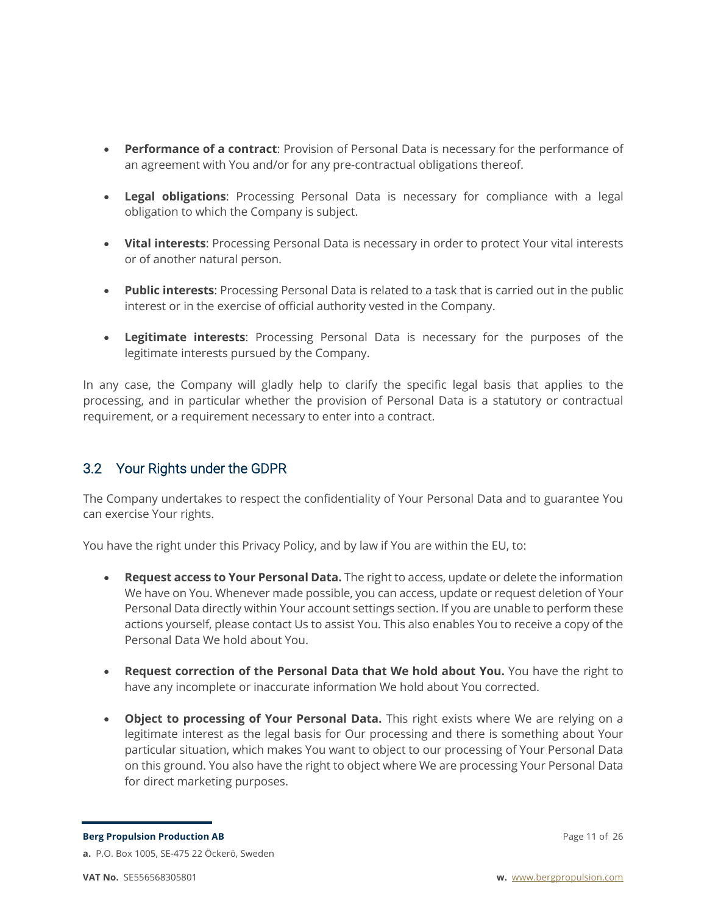- **Performance of a contract**: Provision of Personal Data is necessary for the performance of an agreement with You and/or for any pre-contractual obligations thereof.
- **Legal obligations**: Processing Personal Data is necessary for compliance with a legal obligation to which the Company is subject.
- **Vital interests**: Processing Personal Data is necessary in order to protect Your vital interests or of another natural person.
- **Public interests**: Processing Personal Data is related to a task that is carried out in the public interest or in the exercise of official authority vested in the Company.
- **Legitimate interests**: Processing Personal Data is necessary for the purposes of the legitimate interests pursued by the Company.

In any case, the Company will gladly help to clarify the specific legal basis that applies to the processing, and in particular whether the provision of Personal Data is a statutory or contractual requirement, or a requirement necessary to enter into a contract.

# 3.2 Your Rights under the GDPR

The Company undertakes to respect the confidentiality of Your Personal Data and to guarantee You can exercise Your rights.

You have the right under this Privacy Policy, and by law if You are within the EU, to:

- **Request access to Your Personal Data.** The right to access, update or delete the information We have on You. Whenever made possible, you can access, update or request deletion of Your Personal Data directly within Your account settings section. If you are unable to perform these actions yourself, please contact Us to assist You. This also enables You to receive a copy of the Personal Data We hold about You.
- **Request correction of the Personal Data that We hold about You.** You have the right to have any incomplete or inaccurate information We hold about You corrected.
- **Object to processing of Your Personal Data.** This right exists where We are relying on a legitimate interest as the legal basis for Our processing and there is something about Your particular situation, which makes You want to object to our processing of Your Personal Data on this ground. You also have the right to object where We are processing Your Personal Data for direct marketing purposes.

Page 11 of 26

**Berg Propulsion Production AB a.** P.O. Box 1005, SE-475 22 Öckerö, Sweden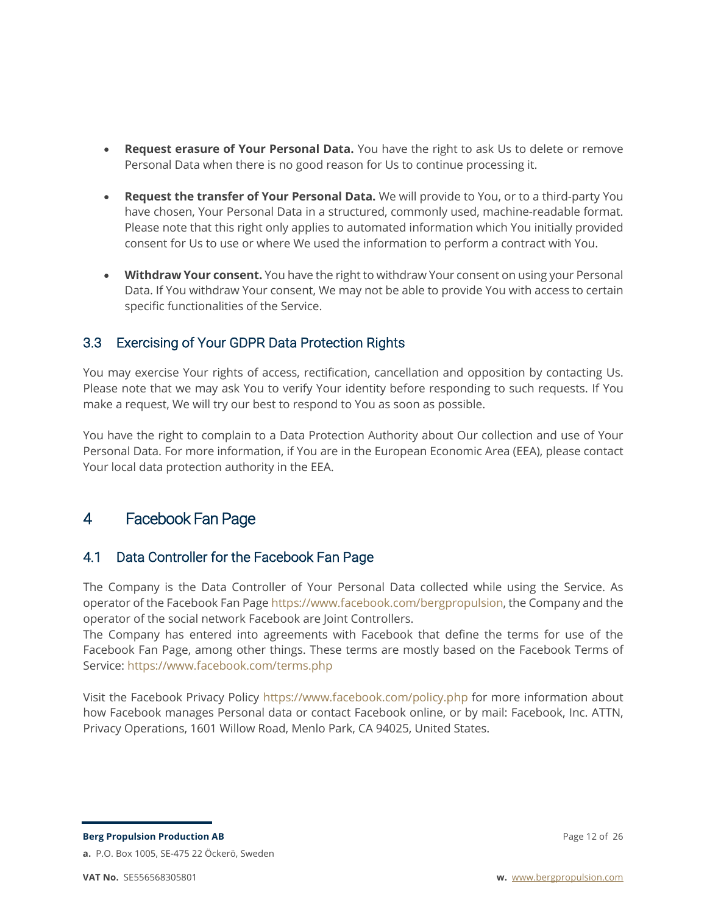- **Request erasure of Your Personal Data.** You have the right to ask Us to delete or remove Personal Data when there is no good reason for Us to continue processing it.
- **Request the transfer of Your Personal Data.** We will provide to You, or to a third-party You have chosen, Your Personal Data in a structured, commonly used, machine-readable format. Please note that this right only applies to automated information which You initially provided consent for Us to use or where We used the information to perform a contract with You.
- **Withdraw Your consent.** You have the right to withdraw Your consent on using your Personal Data. If You withdraw Your consent, We may not be able to provide You with access to certain specific functionalities of the Service.

# 3.3 Exercising of Your GDPR Data Protection Rights

You may exercise Your rights of access, rectification, cancellation and opposition by contacting Us. Please note that we may ask You to verify Your identity before responding to such requests. If You make a request, We will try our best to respond to You as soon as possible.

You have the right to complain to a Data Protection Authority about Our collection and use of Your Personal Data. For more information, if You are in the European Economic Area (EEA), please contact Your local data protection authority in the EEA.

# 4 Facebook Fan Page

# 4.1 Data Controller for the Facebook Fan Page

The Company is the Data Controller of Your Personal Data collected while using the Service. As operator of the Facebook Fan Page https://www.facebook.com/bergpropulsion, the Company and the operator of the social network Facebook are Joint Controllers.

The Company has entered into agreements with Facebook that define the terms for use of the Facebook Fan Page, among other things. These terms are mostly based on the Facebook Terms of Service: https://www.facebook.com/terms.php

Visit the Facebook Privacy Policy https://www.facebook.com/policy.php for more information about how Facebook manages Personal data or contact Facebook online, or by mail: Facebook, Inc. ATTN, Privacy Operations, 1601 Willow Road, Menlo Park, CA 94025, United States.

**Berg Propulsion Production AB a.** P.O. Box 1005, SE-475 22 Öckerö, Sweden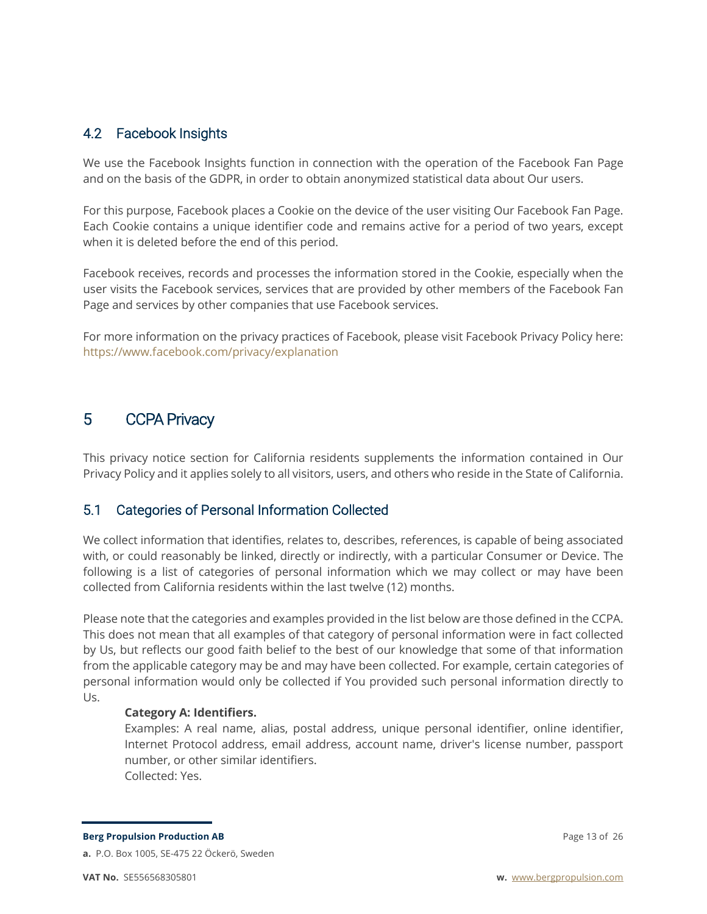# 4.2 Facebook Insights

We use the Facebook Insights function in connection with the operation of the Facebook Fan Page and on the basis of the GDPR, in order to obtain anonymized statistical data about Our users.

For this purpose, Facebook places a Cookie on the device of the user visiting Our Facebook Fan Page. Each Cookie contains a unique identifier code and remains active for a period of two years, except when it is deleted before the end of this period.

Facebook receives, records and processes the information stored in the Cookie, especially when the user visits the Facebook services, services that are provided by other members of the Facebook Fan Page and services by other companies that use Facebook services.

For more information on the privacy practices of Facebook, please visit Facebook Privacy Policy here: https://www.facebook.com/privacy/explanation

# 5 CCPA Privacy

This privacy notice section for California residents supplements the information contained in Our Privacy Policy and it applies solely to all visitors, users, and others who reside in the State of California.

## 5.1 Categories of Personal Information Collected

We collect information that identifies, relates to, describes, references, is capable of being associated with, or could reasonably be linked, directly or indirectly, with a particular Consumer or Device. The following is a list of categories of personal information which we may collect or may have been collected from California residents within the last twelve (12) months.

Please note that the categories and examples provided in the list below are those defined in the CCPA. This does not mean that all examples of that category of personal information were in fact collected by Us, but reflects our good faith belief to the best of our knowledge that some of that information from the applicable category may be and may have been collected. For example, certain categories of personal information would only be collected if You provided such personal information directly to Us.

#### **Category A: Identifiers.**

Examples: A real name, alias, postal address, unique personal identifier, online identifier, Internet Protocol address, email address, account name, driver's license number, passport number, or other similar identifiers. Collected: Yes.

**Berg Propulsion Production AB a.** P.O. Box 1005, SE-475 22 Öckerö, Sweden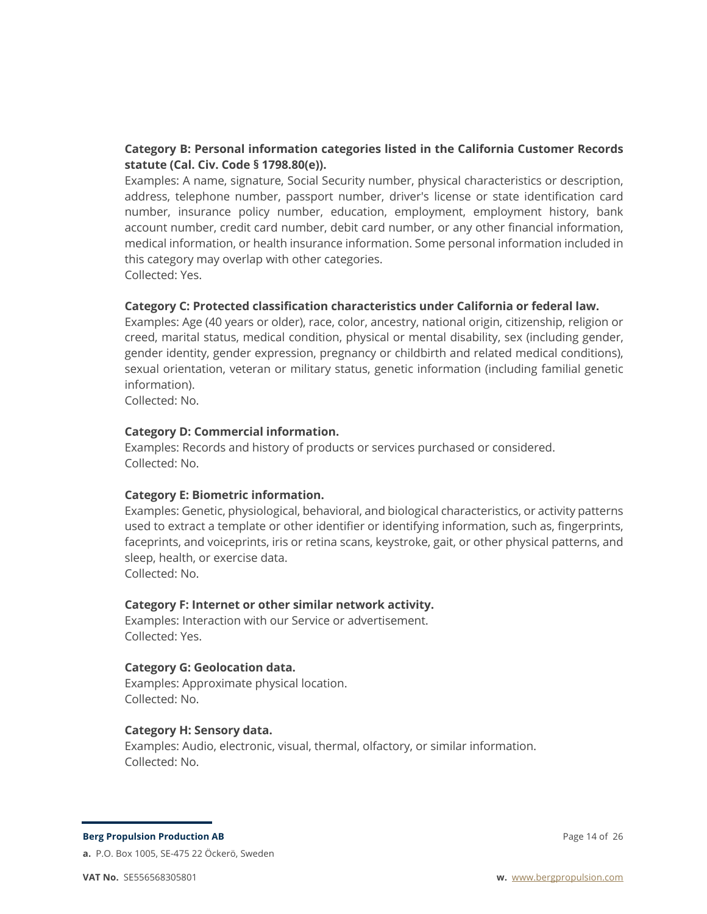#### **Category B: Personal information categories listed in the California Customer Records statute (Cal. Civ. Code § 1798.80(e)).**

Examples: A name, signature, Social Security number, physical characteristics or description, address, telephone number, passport number, driver's license or state identification card number, insurance policy number, education, employment, employment history, bank account number, credit card number, debit card number, or any other financial information, medical information, or health insurance information. Some personal information included in this category may overlap with other categories.

Collected: Yes.

#### **Category C: Protected classification characteristics under California or federal law.**

Examples: Age (40 years or older), race, color, ancestry, national origin, citizenship, religion or creed, marital status, medical condition, physical or mental disability, sex (including gender, gender identity, gender expression, pregnancy or childbirth and related medical conditions), sexual orientation, veteran or military status, genetic information (including familial genetic information).

Collected: No.

#### **Category D: Commercial information.**

Examples: Records and history of products or services purchased or considered. Collected: No.

#### **Category E: Biometric information.**

Examples: Genetic, physiological, behavioral, and biological characteristics, or activity patterns used to extract a template or other identifier or identifying information, such as, fingerprints, faceprints, and voiceprints, iris or retina scans, keystroke, gait, or other physical patterns, and sleep, health, or exercise data.

Collected: No.

#### **Category F: Internet or other similar network activity.**

Examples: Interaction with our Service or advertisement. Collected: Yes.

#### **Category G: Geolocation data.**

Examples: Approximate physical location. Collected: No.

#### **Category H: Sensory data.**

Examples: Audio, electronic, visual, thermal, olfactory, or similar information. Collected: No.

**a.** P.O. Box 1005, SE-475 22 Öckerö, Sweden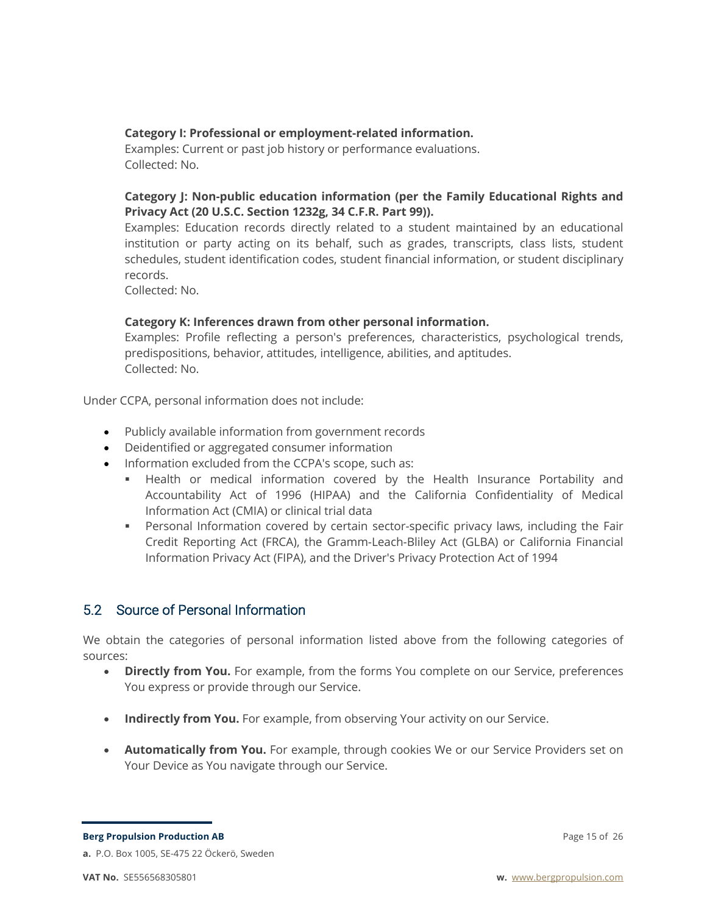#### **Category I: Professional or employment-related information.**

Examples: Current or past job history or performance evaluations. Collected: No.

#### **Category J: Non-public education information (per the Family Educational Rights and Privacy Act (20 U.S.C. Section 1232g, 34 C.F.R. Part 99)).**

Examples: Education records directly related to a student maintained by an educational institution or party acting on its behalf, such as grades, transcripts, class lists, student schedules, student identification codes, student financial information, or student disciplinary records.

Collected: No.

#### **Category K: Inferences drawn from other personal information.**

Examples: Profile reflecting a person's preferences, characteristics, psychological trends, predispositions, behavior, attitudes, intelligence, abilities, and aptitudes. Collected: No.

Under CCPA, personal information does not include:

- Publicly available information from government records
- Deidentified or aggregated consumer information
- Information excluded from the CCPA's scope, such as:
	- § Health or medical information covered by the Health Insurance Portability and Accountability Act of 1996 (HIPAA) and the California Confidentiality of Medical Information Act (CMIA) or clinical trial data
	- Personal Information covered by certain sector-specific privacy laws, including the Fair Credit Reporting Act (FRCA), the Gramm-Leach-Bliley Act (GLBA) or California Financial Information Privacy Act (FIPA), and the Driver's Privacy Protection Act of 1994

## 5.2 Source of Personal Information

We obtain the categories of personal information listed above from the following categories of sources:

- **Directly from You.** For example, from the forms You complete on our Service, preferences You express or provide through our Service.
- **Indirectly from You.** For example, from observing Your activity on our Service.
- **Automatically from You.** For example, through cookies We or our Service Providers set on Your Device as You navigate through our Service.

**Berg Propulsion Production AB**

**a.** P.O. Box 1005, SE-475 22 Öckerö, Sweden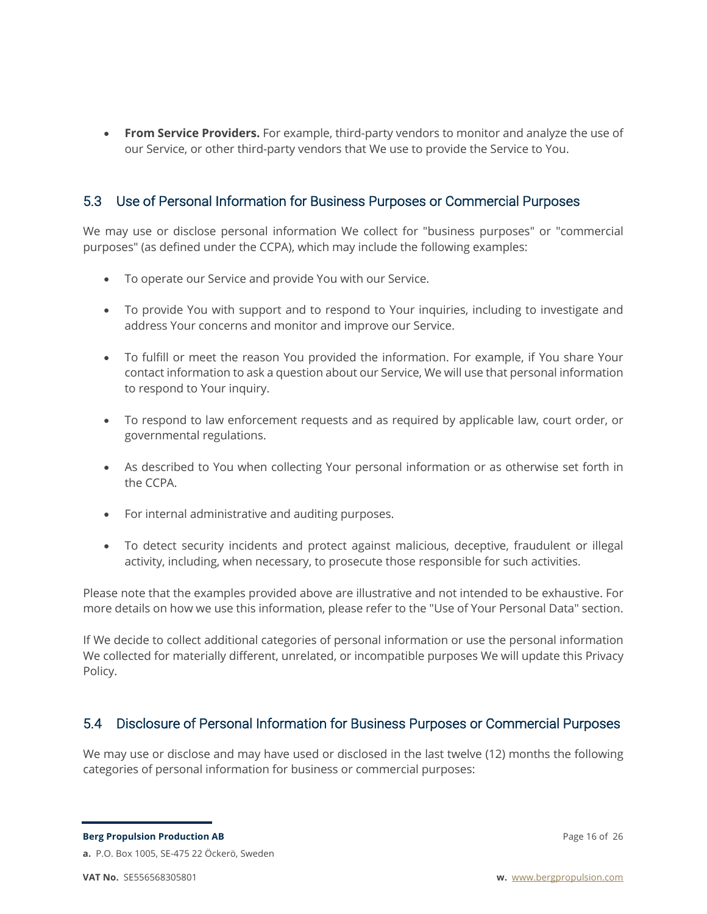• **From Service Providers.** For example, third-party vendors to monitor and analyze the use of our Service, or other third-party vendors that We use to provide the Service to You.

## 5.3 Use of Personal Information for Business Purposes or Commercial Purposes

We may use or disclose personal information We collect for "business purposes" or "commercial purposes" (as defined under the CCPA), which may include the following examples:

- To operate our Service and provide You with our Service.
- To provide You with support and to respond to Your inquiries, including to investigate and address Your concerns and monitor and improve our Service.
- To fulfill or meet the reason You provided the information. For example, if You share Your contact information to ask a question about our Service, We will use that personal information to respond to Your inquiry.
- To respond to law enforcement requests and as required by applicable law, court order, or governmental regulations.
- As described to You when collecting Your personal information or as otherwise set forth in the CCPA.
- For internal administrative and auditing purposes.
- To detect security incidents and protect against malicious, deceptive, fraudulent or illegal activity, including, when necessary, to prosecute those responsible for such activities.

Please note that the examples provided above are illustrative and not intended to be exhaustive. For more details on how we use this information, please refer to the "Use of Your Personal Data" section.

If We decide to collect additional categories of personal information or use the personal information We collected for materially different, unrelated, or incompatible purposes We will update this Privacy Policy.

## 5.4 Disclosure of Personal Information for Business Purposes or Commercial Purposes

We may use or disclose and may have used or disclosed in the last twelve (12) months the following categories of personal information for business or commercial purposes:

**Berg Propulsion Production AB**

**a.** P.O. Box 1005, SE-475 22 Öckerö, Sweden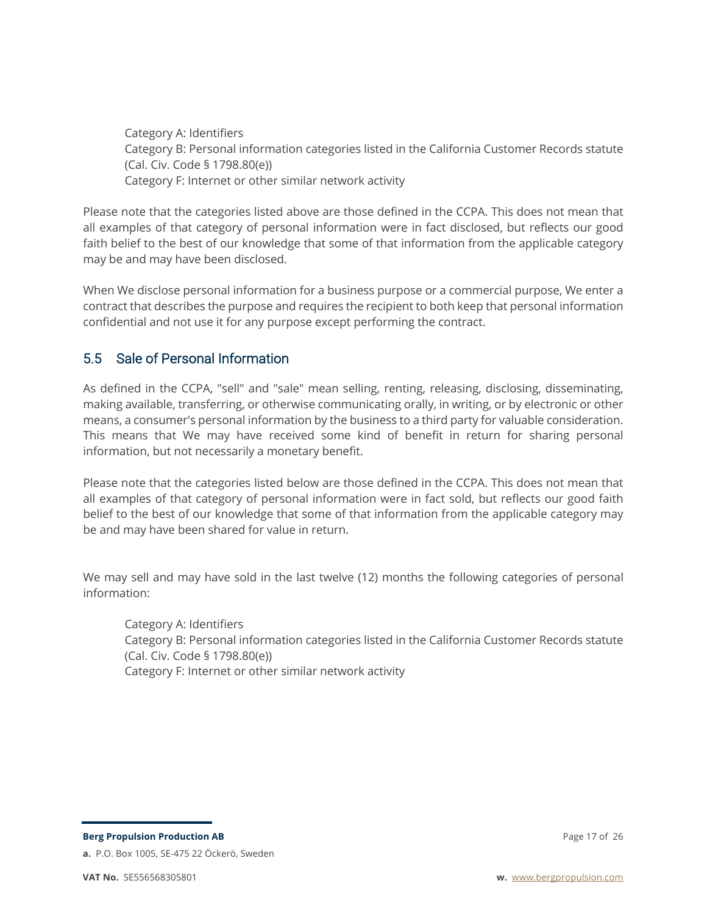Category A: Identifiers Category B: Personal information categories listed in the California Customer Records statute (Cal. Civ. Code § 1798.80(e)) Category F: Internet or other similar network activity

Please note that the categories listed above are those defined in the CCPA. This does not mean that all examples of that category of personal information were in fact disclosed, but reflects our good faith belief to the best of our knowledge that some of that information from the applicable category may be and may have been disclosed.

When We disclose personal information for a business purpose or a commercial purpose, We enter a contract that describes the purpose and requires the recipient to both keep that personal information confidential and not use it for any purpose except performing the contract.

# 5.5 Sale of Personal Information

As defined in the CCPA, "sell" and "sale" mean selling, renting, releasing, disclosing, disseminating, making available, transferring, or otherwise communicating orally, in writing, or by electronic or other means, a consumer's personal information by the business to a third party for valuable consideration. This means that We may have received some kind of benefit in return for sharing personal information, but not necessarily a monetary benefit.

Please note that the categories listed below are those defined in the CCPA. This does not mean that all examples of that category of personal information were in fact sold, but reflects our good faith belief to the best of our knowledge that some of that information from the applicable category may be and may have been shared for value in return.

We may sell and may have sold in the last twelve (12) months the following categories of personal information:

Category A: Identifiers Category B: Personal information categories listed in the California Customer Records statute (Cal. Civ. Code § 1798.80(e)) Category F: Internet or other similar network activity

**Berg Propulsion Production AB a.** P.O. Box 1005, SE-475 22 Öckerö, Sweden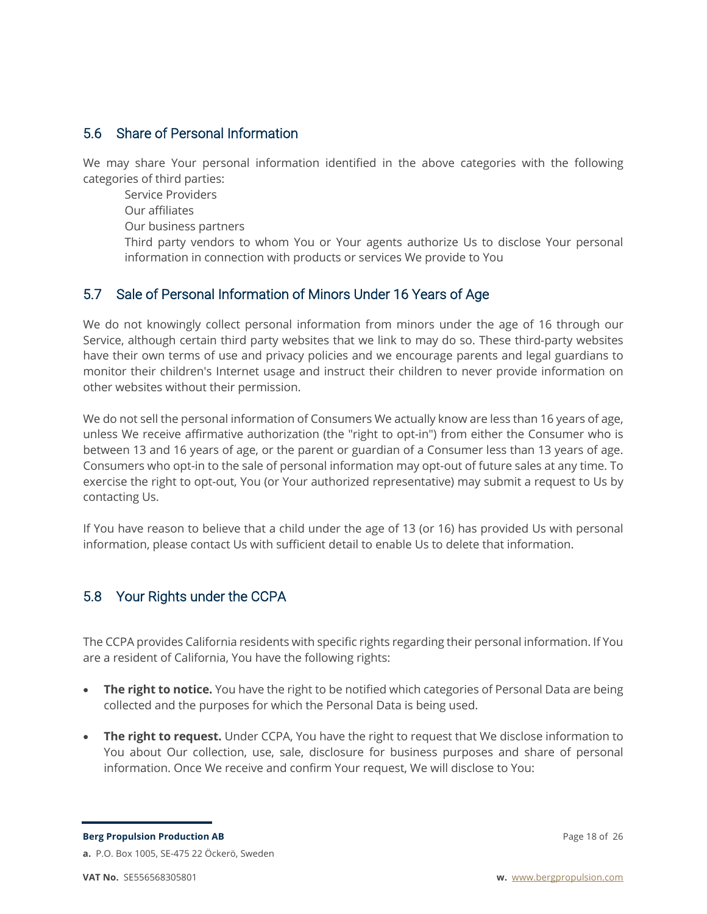# 5.6 Share of Personal Information

We may share Your personal information identified in the above categories with the following categories of third parties:

Service Providers

Our affiliates

Our business partners

Third party vendors to whom You or Your agents authorize Us to disclose Your personal information in connection with products or services We provide to You

# 5.7 Sale of Personal Information of Minors Under 16 Years of Age

We do not knowingly collect personal information from minors under the age of 16 through our Service, although certain third party websites that we link to may do so. These third-party websites have their own terms of use and privacy policies and we encourage parents and legal guardians to monitor their children's Internet usage and instruct their children to never provide information on other websites without their permission.

We do not sell the personal information of Consumers We actually know are less than 16 years of age, unless We receive affirmative authorization (the "right to opt-in") from either the Consumer who is between 13 and 16 years of age, or the parent or guardian of a Consumer less than 13 years of age. Consumers who opt-in to the sale of personal information may opt-out of future sales at any time. To exercise the right to opt-out, You (or Your authorized representative) may submit a request to Us by contacting Us.

If You have reason to believe that a child under the age of 13 (or 16) has provided Us with personal information, please contact Us with sufficient detail to enable Us to delete that information.

# 5.8 Your Rights under the CCPA

The CCPA provides California residents with specific rights regarding their personal information. If You are a resident of California, You have the following rights:

- **The right to notice.** You have the right to be notified which categories of Personal Data are being collected and the purposes for which the Personal Data is being used.
- **The right to request.** Under CCPA, You have the right to request that We disclose information to You about Our collection, use, sale, disclosure for business purposes and share of personal information. Once We receive and confirm Your request, We will disclose to You:

**a.** P.O. Box 1005, SE-475 22 Öckerö, Sweden

**Berg Propulsion Production AB**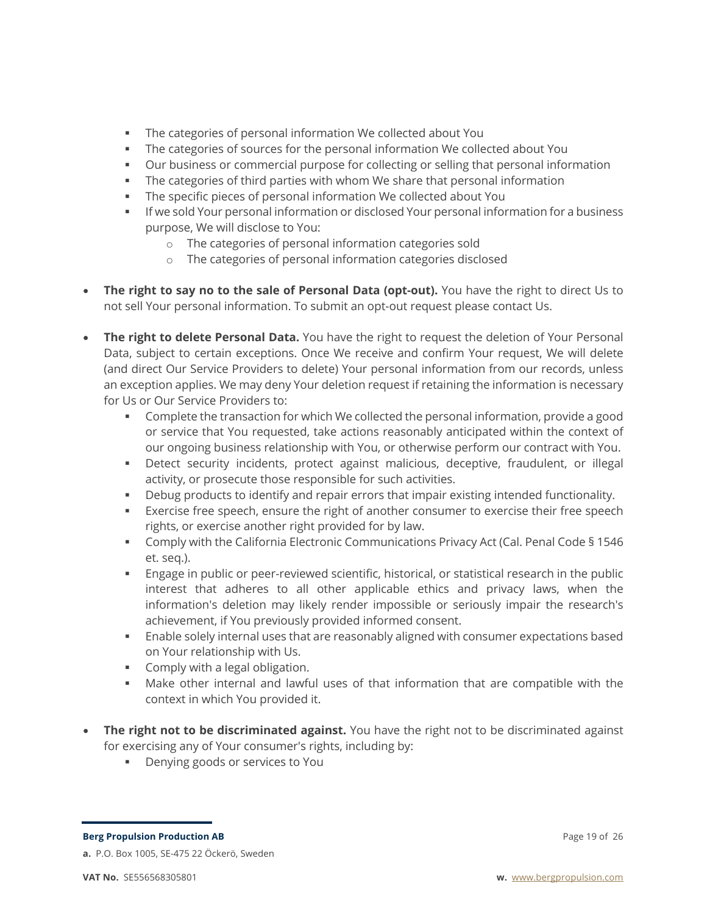- § The categories of personal information We collected about You
- § The categories of sources for the personal information We collected about You
- **Our business or commercial purpose for collecting or selling that personal information**
- § The categories of third parties with whom We share that personal information
- § The specific pieces of personal information We collected about You
- § If we sold Your personal information or disclosed Your personal information for a business purpose, We will disclose to You:
	- o The categories of personal information categories sold
	- o The categories of personal information categories disclosed
- **The right to say no to the sale of Personal Data (opt-out).** You have the right to direct Us to not sell Your personal information. To submit an opt-out request please contact Us.
- **The right to delete Personal Data.** You have the right to request the deletion of Your Personal Data, subject to certain exceptions. Once We receive and confirm Your request, We will delete (and direct Our Service Providers to delete) Your personal information from our records, unless an exception applies. We may deny Your deletion request if retaining the information is necessary for Us or Our Service Providers to:
	- § Complete the transaction for which We collected the personal information, provide a good or service that You requested, take actions reasonably anticipated within the context of our ongoing business relationship with You, or otherwise perform our contract with You.
	- § Detect security incidents, protect against malicious, deceptive, fraudulent, or illegal activity, or prosecute those responsible for such activities.
	- § Debug products to identify and repair errors that impair existing intended functionality.
	- § Exercise free speech, ensure the right of another consumer to exercise their free speech rights, or exercise another right provided for by law.
	- § Comply with the California Electronic Communications Privacy Act (Cal. Penal Code § 1546 et. seq.).
	- § Engage in public or peer-reviewed scientific, historical, or statistical research in the public interest that adheres to all other applicable ethics and privacy laws, when the information's deletion may likely render impossible or seriously impair the research's achievement, if You previously provided informed consent.
	- § Enable solely internal uses that are reasonably aligned with consumer expectations based on Your relationship with Us.
	- **•** Comply with a legal obligation.
	- § Make other internal and lawful uses of that information that are compatible with the context in which You provided it.
- **The right not to be discriminated against.** You have the right not to be discriminated against for exercising any of Your consumer's rights, including by:
	- Denying goods or services to You

**Berg Propulsion Production AB a.** P.O. Box 1005, SE-475 22 Öckerö, Sweden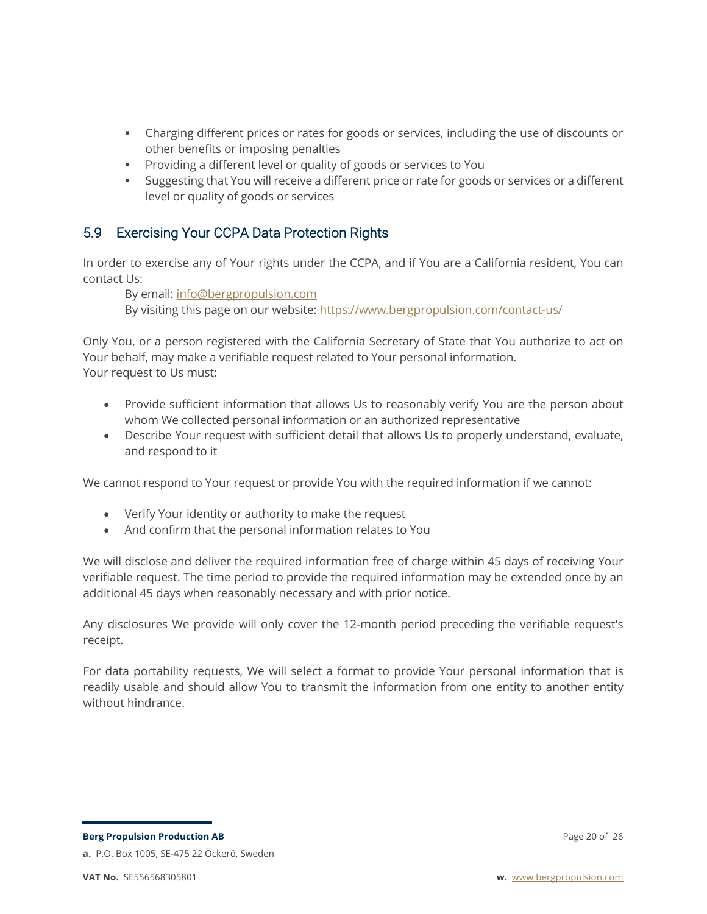- § Charging different prices or rates for goods or services, including the use of discounts or other benefits or imposing penalties
- § Providing a different level or quality of goods or services to You
- § Suggesting that You will receive a different price or rate for goods or services or a different level or quality of goods or services

# 5.9 Exercising Your CCPA Data Protection Rights

In order to exercise any of Your rights under the CCPA, and if You are a California resident, You can contact Us:

By email: info@bergpropulsion.com By visiting this page on our website: https://www.bergpropulsion.com/contact-us/

Only You, or a person registered with the California Secretary of State that You authorize to act on Your behalf, may make a verifiable request related to Your personal information. Your request to Us must:

- Provide sufficient information that allows Us to reasonably verify You are the person about whom We collected personal information or an authorized representative
- Describe Your request with sufficient detail that allows Us to properly understand, evaluate, and respond to it

We cannot respond to Your request or provide You with the required information if we cannot:

- Verify Your identity or authority to make the request
- And confirm that the personal information relates to You

We will disclose and deliver the required information free of charge within 45 days of receiving Your verifiable request. The time period to provide the required information may be extended once by an additional 45 days when reasonably necessary and with prior notice.

Any disclosures We provide will only cover the 12-month period preceding the verifiable request's receipt.

For data portability requests, We will select a format to provide Your personal information that is readily usable and should allow You to transmit the information from one entity to another entity without hindrance.

**Berg Propulsion Production AB a.** P.O. Box 1005, SE-475 22 Öckerö, Sweden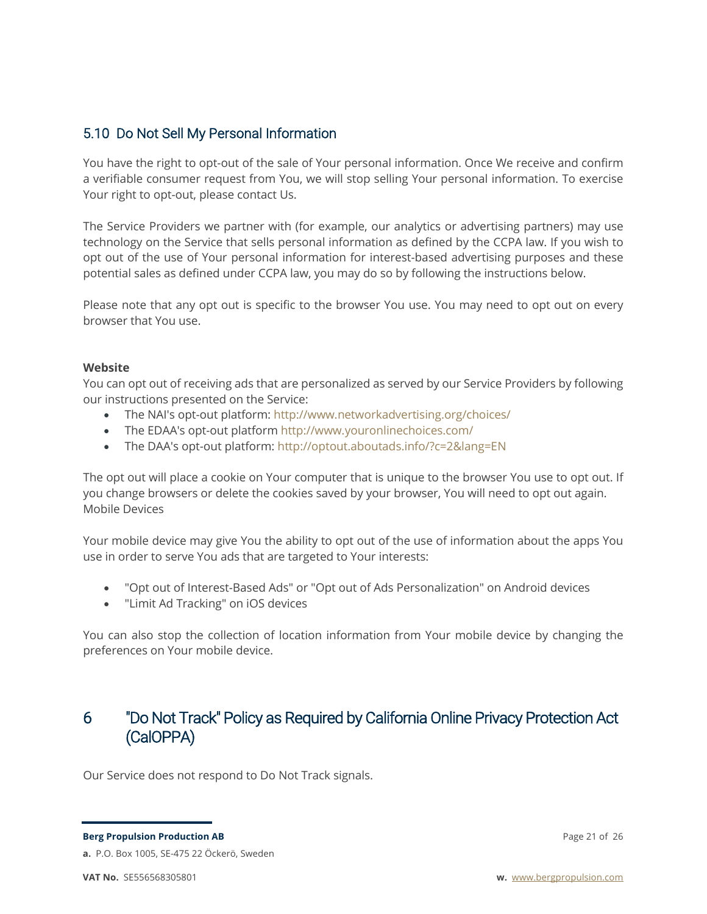## 5.10 Do Not Sell My Personal Information

You have the right to opt-out of the sale of Your personal information. Once We receive and confirm a verifiable consumer request from You, we will stop selling Your personal information. To exercise Your right to opt-out, please contact Us.

The Service Providers we partner with (for example, our analytics or advertising partners) may use technology on the Service that sells personal information as defined by the CCPA law. If you wish to opt out of the use of Your personal information for interest-based advertising purposes and these potential sales as defined under CCPA law, you may do so by following the instructions below.

Please note that any opt out is specific to the browser You use. You may need to opt out on every browser that You use.

#### **Website**

You can opt out of receiving ads that are personalized as served by our Service Providers by following our instructions presented on the Service:

- The NAI's opt-out platform: http://www.networkadvertising.org/choices/
- The EDAA's opt-out platform http://www.youronlinechoices.com/
- The DAA's opt-out platform: http://optout.aboutads.info/?c=2&lang=EN

The opt out will place a cookie on Your computer that is unique to the browser You use to opt out. If you change browsers or delete the cookies saved by your browser, You will need to opt out again. Mobile Devices

Your mobile device may give You the ability to opt out of the use of information about the apps You use in order to serve You ads that are targeted to Your interests:

- "Opt out of Interest-Based Ads" or "Opt out of Ads Personalization" on Android devices
- "Limit Ad Tracking" on iOS devices

You can also stop the collection of location information from Your mobile device by changing the preferences on Your mobile device.

# 6 "Do Not Track" Policy as Required by California Online Privacy Protection Act (CalOPPA)

Our Service does not respond to Do Not Track signals.

**Berg Propulsion Production AB**

**a.** P.O. Box 1005, SE-475 22 Öckerö, Sweden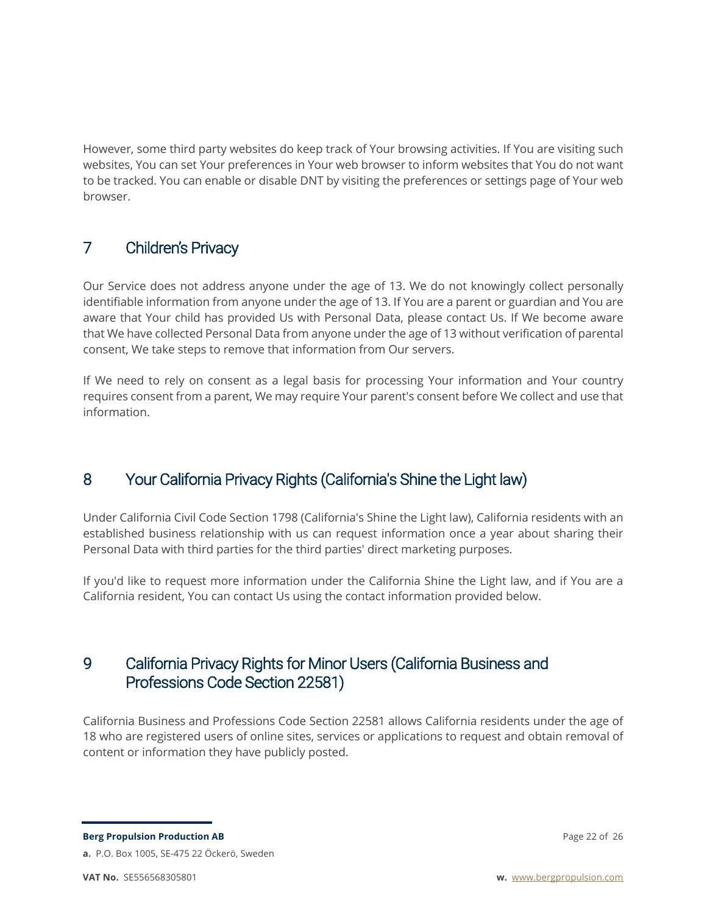However, some third party websites do keep track of Your browsing activities. If You are visiting such websites, You can set Your preferences in Your web browser to inform websites that You do not want to be tracked. You can enable or disable DNT by visiting the preferences or settings page of Your web browser.

# 7 Children's Privacy

Our Service does not address anyone under the age of 13. We do not knowingly collect personally identifiable information from anyone under the age of 13. If You are a parent or guardian and You are aware that Your child has provided Us with Personal Data, please contact Us. If We become aware that We have collected Personal Data from anyone under the age of 13 without verification of parental consent, We take steps to remove that information from Our servers.

If We need to rely on consent as a legal basis for processing Your information and Your country requires consent from a parent, We may require Your parent's consent before We collect and use that information.

# 8 Your California Privacy Rights (California's Shine the Light law)

Under California Civil Code Section 1798 (California's Shine the Light law), California residents with an established business relationship with us can request information once a year about sharing their Personal Data with third parties for the third parties' direct marketing purposes.

If you'd like to request more information under the California Shine the Light law, and if You are a California resident, You can contact Us using the contact information provided below.

# 9 California Privacy Rights for Minor Users (California Business and Professions Code Section 22581)

California Business and Professions Code Section 22581 allows California residents under the age of 18 who are registered users of online sites, services or applications to request and obtain removal of content or information they have publicly posted.

**Berg Propulsion Production AB**

**a.** P.O. Box 1005, SE-475 22 Öckerö, Sweden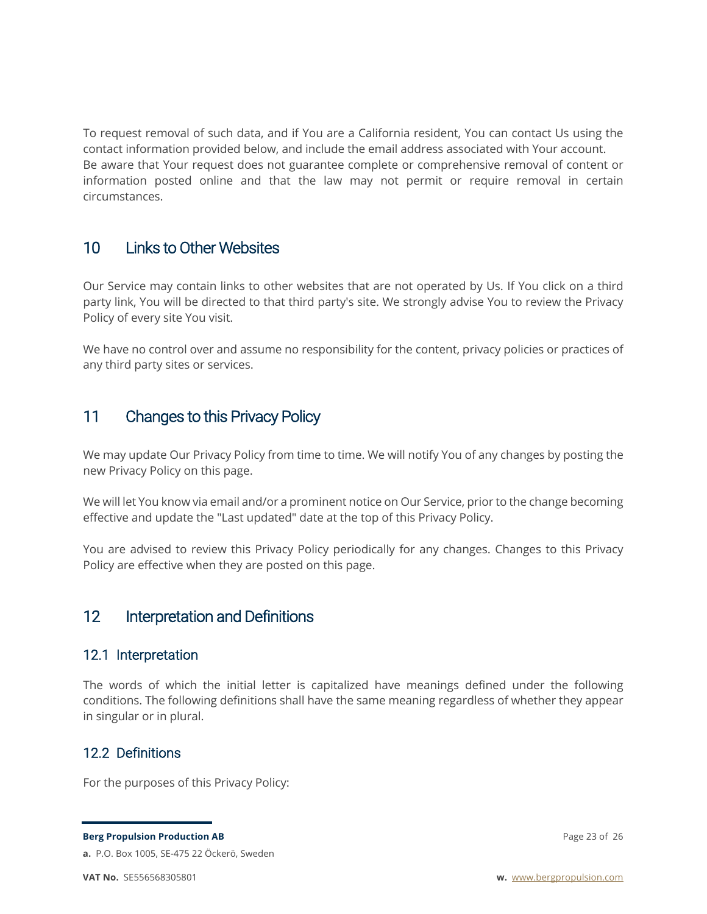To request removal of such data, and if You are a California resident, You can contact Us using the contact information provided below, and include the email address associated with Your account. Be aware that Your request does not guarantee complete or comprehensive removal of content or information posted online and that the law may not permit or require removal in certain circumstances.

# 10 Links to Other Websites

Our Service may contain links to other websites that are not operated by Us. If You click on a third party link, You will be directed to that third party's site. We strongly advise You to review the Privacy Policy of every site You visit.

We have no control over and assume no responsibility for the content, privacy policies or practices of any third party sites or services.

# 11 Changes to this Privacy Policy

We may update Our Privacy Policy from time to time. We will notify You of any changes by posting the new Privacy Policy on this page.

We will let You know via email and/or a prominent notice on Our Service, prior to the change becoming effective and update the "Last updated" date at the top of this Privacy Policy.

You are advised to review this Privacy Policy periodically for any changes. Changes to this Privacy Policy are effective when they are posted on this page.

# 12 Interpretation and Definitions

## 12.1 Interpretation

The words of which the initial letter is capitalized have meanings defined under the following conditions. The following definitions shall have the same meaning regardless of whether they appear in singular or in plural.

## 12.2 Definitions

For the purposes of this Privacy Policy: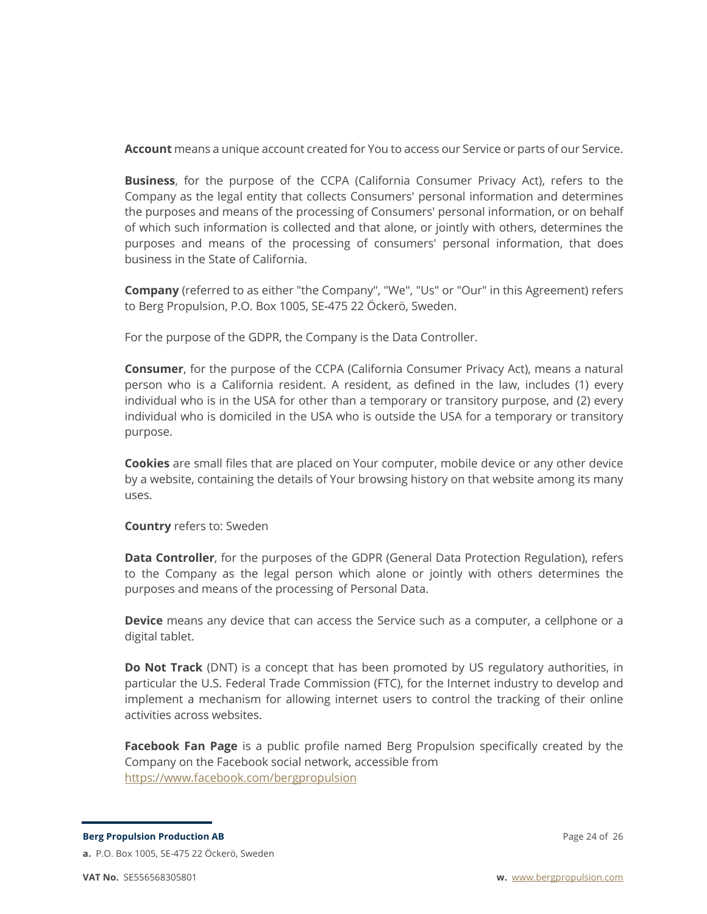**Account** means a unique account created for You to access our Service or parts of our Service.

**Business**, for the purpose of the CCPA (California Consumer Privacy Act), refers to the Company as the legal entity that collects Consumers' personal information and determines the purposes and means of the processing of Consumers' personal information, or on behalf of which such information is collected and that alone, or jointly with others, determines the purposes and means of the processing of consumers' personal information, that does business in the State of California.

**Company** (referred to as either "the Company", "We", "Us" or "Our" in this Agreement) refers to Berg Propulsion, P.O. Box 1005, SE-475 22 Öckerö, Sweden.

For the purpose of the GDPR, the Company is the Data Controller.

**Consumer**, for the purpose of the CCPA (California Consumer Privacy Act), means a natural person who is a California resident. A resident, as defined in the law, includes (1) every individual who is in the USA for other than a temporary or transitory purpose, and (2) every individual who is domiciled in the USA who is outside the USA for a temporary or transitory purpose.

**Cookies** are small files that are placed on Your computer, mobile device or any other device by a website, containing the details of Your browsing history on that website among its many uses.

**Country** refers to: Sweden

**Data Controller**, for the purposes of the GDPR (General Data Protection Regulation), refers to the Company as the legal person which alone or jointly with others determines the purposes and means of the processing of Personal Data.

**Device** means any device that can access the Service such as a computer, a cellphone or a digital tablet.

**Do Not Track** (DNT) is a concept that has been promoted by US regulatory authorities, in particular the U.S. Federal Trade Commission (FTC), for the Internet industry to develop and implement a mechanism for allowing internet users to control the tracking of their online activities across websites.

**Facebook Fan Page** is a public profile named Berg Propulsion specifically created by the Company on the Facebook social network, accessible from https://www.facebook.com/bergpropulsion

Page 24 of 26

**Berg Propulsion Production AB a.** P.O. Box 1005, SE-475 22 Öckerö, Sweden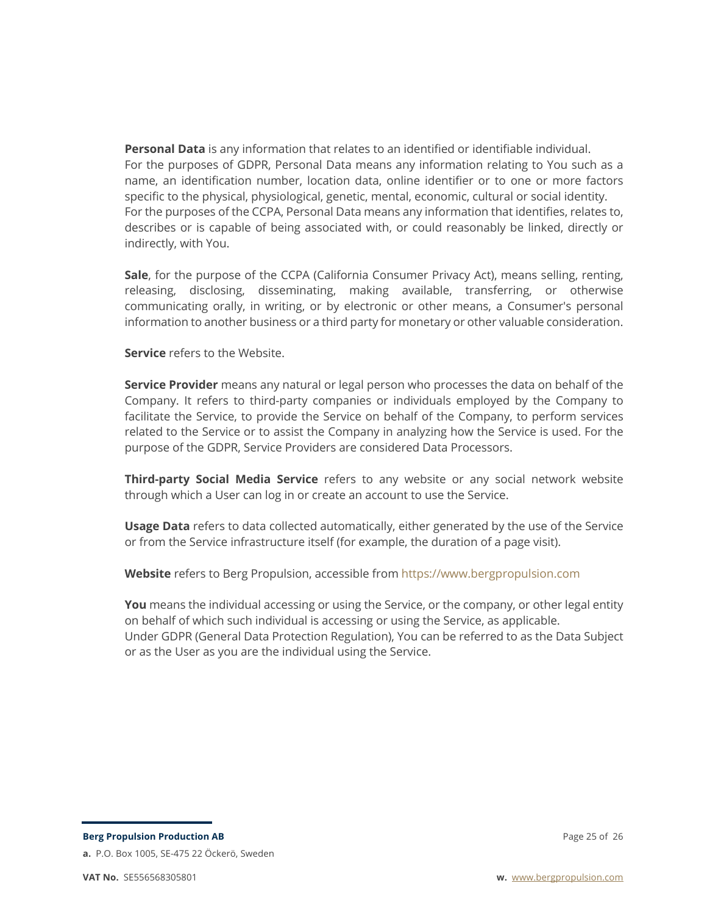**Personal Data** is any information that relates to an identified or identifiable individual. For the purposes of GDPR, Personal Data means any information relating to You such as a name, an identification number, location data, online identifier or to one or more factors specific to the physical, physiological, genetic, mental, economic, cultural or social identity. For the purposes of the CCPA, Personal Data means any information that identifies, relates to, describes or is capable of being associated with, or could reasonably be linked, directly or indirectly, with You.

**Sale**, for the purpose of the CCPA (California Consumer Privacy Act), means selling, renting, releasing, disclosing, disseminating, making available, transferring, or otherwise communicating orally, in writing, or by electronic or other means, a Consumer's personal information to another business or a third party for monetary or other valuable consideration.

**Service** refers to the Website.

**Service Provider** means any natural or legal person who processes the data on behalf of the Company. It refers to third-party companies or individuals employed by the Company to facilitate the Service, to provide the Service on behalf of the Company, to perform services related to the Service or to assist the Company in analyzing how the Service is used. For the purpose of the GDPR, Service Providers are considered Data Processors.

**Third-party Social Media Service** refers to any website or any social network website through which a User can log in or create an account to use the Service.

**Usage Data** refers to data collected automatically, either generated by the use of the Service or from the Service infrastructure itself (for example, the duration of a page visit).

**Website** refers to Berg Propulsion, accessible from https://www.bergpropulsion.com

**You** means the individual accessing or using the Service, or the company, or other legal entity on behalf of which such individual is accessing or using the Service, as applicable. Under GDPR (General Data Protection Regulation), You can be referred to as the Data Subject or as the User as you are the individual using the Service.

**Berg Propulsion Production AB a.** P.O. Box 1005, SE-475 22 Öckerö, Sweden